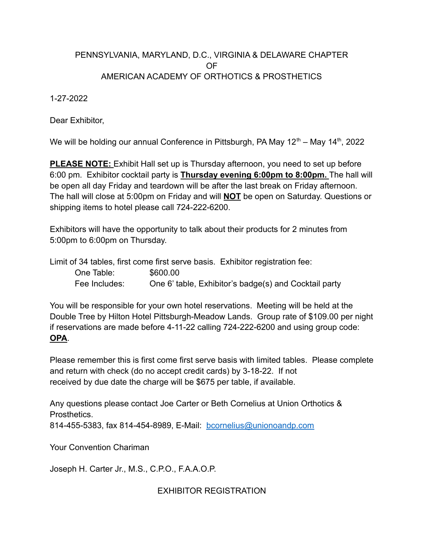## PENNSYLVANIA, MARYLAND, D.C., VIRGINIA & DELAWARE CHAPTER OF AMERICAN ACADEMY OF ORTHOTICS & PROSTHETICS

1-27-2022

Dear Exhibitor,

We will be holding our annual Conference in Pittsburgh, PA May 12<sup>th</sup> – May 14<sup>th</sup>, 2022

**PLEASE NOTE:** Exhibit Hall set up is Thursday afternoon, you need to set up before 6:00 pm. Exhibitor cocktail party is **Thursday evening 6:00pm to 8:00pm.** The hall will be open all day Friday and teardown will be after the last break on Friday afternoon. The hall will close at 5:00pm on Friday and will **NOT** be open on Saturday. Questions or shipping items to hotel please call 724-222-6200.

Exhibitors will have the opportunity to talk about their products for 2 minutes from 5:00pm to 6:00pm on Thursday.

Limit of 34 tables, first come first serve basis. Exhibitor registration fee: One Table: \$600.00 Fee Includes: One 6' table, Exhibitor's badge(s) and Cocktail party

You will be responsible for your own hotel reservations. Meeting will be held at the Double Tree by Hilton Hotel Pittsburgh-Meadow Lands. Group rate of \$109.00 per night if reservations are made before 4-11-22 calling 724-222-6200 and using group code: **OPA**.

Please remember this is first come first serve basis with limited tables. Please complete and return with check (do no accept credit cards) by 3-18-22. If not received by due date the charge will be \$675 per table, if available.

Any questions please contact Joe Carter or Beth Cornelius at Union Orthotics & Prosthetics. 814-455-5383, fax 814-454-8989, E-Mail: [bcornelius@unionoandp.com](mailto:bcornelius@unionoandp.com)

Your Convention Chariman

Joseph H. Carter Jr., M.S., C.P.O., F.A.A.O.P.

EXHIBITOR REGISTRATION